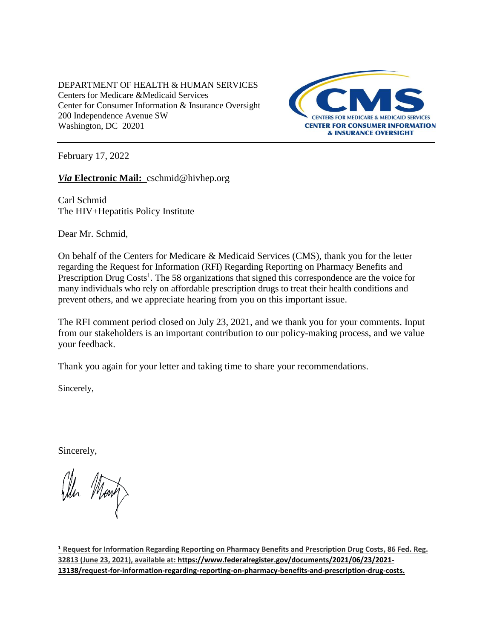DEPARTMENT OF HEALTH & HUMAN SERVICES Centers for Medicare &Medicaid Services Center for Consumer Information & Insurance Oversight 200 Independence Avenue SW Washington, DC 20201



February 17, 2022

*Via* **Electronic Mail:** [cschmid@hivhep.org](mailto:cschmid@hivhep.org)

Carl Schmid The HIV+Hepatitis Policy Institute

Dear Mr. Schmid,

On behalf of the Centers for Medicare & Medicaid Services (CMS), thank you for the letter regarding the Request for Information (RFI) Regarding Reporting on Pharmacy Benefits and Prescription Drug Costs<sup>1</sup>. The 58 organizations that signed this correspondence are the voice for many individuals who rely on affordable prescription drugs to treat their health conditions and prevent others, and we appreciate hearing from you on this important issue.

The RFI comment period closed on July 23, 2021, and we thank you for your comments. Input from our stakeholders is an important contribution to our policy-making process, and we value your feedback.

Thank you again for your letter and taking time to share your recommendations.

Sincerely,

Sincerely,

l

**<sup>1</sup> Request for Information Regarding Reporting on Pharmacy Benefits and Prescription Drug Costs, 86 Fed. Reg. 32813 (June 23, 2021), available at: https://www.federalregister.gov/documents/2021/06/23/2021- 13138/request-for-information-regarding-reporting-on-pharmacy-benefits-and-prescription-drug-costs.**